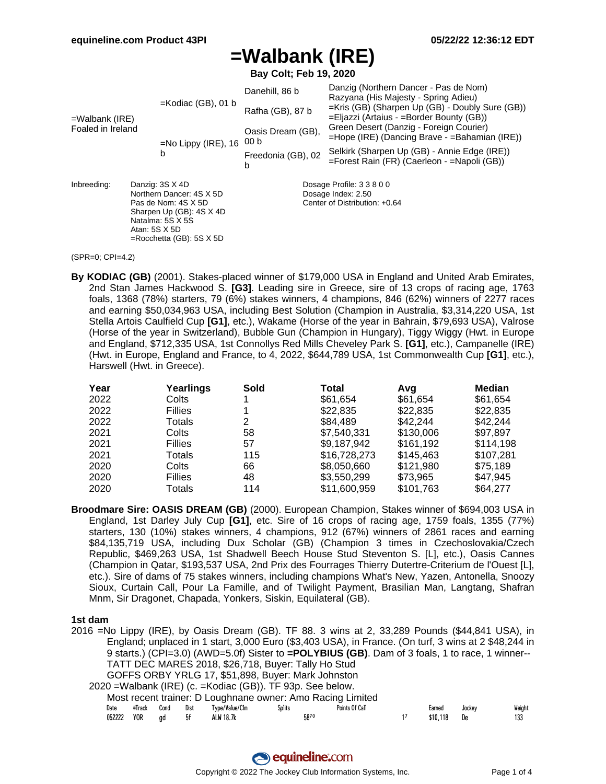# **=Walbank (IRE)**

**Bay Colt; Feb 19, 2020**

| $=$ Walbank (IRE)<br>Foaled in Ireland                                                                                                                                              |  | $=$ Kodiac (GB), 01 b  | Danehill, 86 b<br>Rafha (GB), 87 b                                               | Danzig (Northern Dancer - Pas de Nom)<br>Razyana (His Majesty - Spring Adieu)<br>=Kris (GB) (Sharpen Up (GB) - Doubly Sure (GB))<br>=Eljazzi (Artaius - =Border Bounty (GB)) |  |  |  |  |
|-------------------------------------------------------------------------------------------------------------------------------------------------------------------------------------|--|------------------------|----------------------------------------------------------------------------------|------------------------------------------------------------------------------------------------------------------------------------------------------------------------------|--|--|--|--|
|                                                                                                                                                                                     |  | $=$ No Lippy (IRE), 16 | Oasis Dream (GB),<br>00 <sub>b</sub>                                             | Green Desert (Danzig - Foreign Courier)<br>=Hope (IRE) (Dancing Brave - = Bahamian (IRE))                                                                                    |  |  |  |  |
|                                                                                                                                                                                     |  | b                      | Freedonia (GB), 02<br>b                                                          | Selkirk (Sharpen Up (GB) - Annie Edge (IRE))<br>=Forest Rain (FR) (Caerleon - = Napoli (GB))                                                                                 |  |  |  |  |
| Inbreeding:<br>Danzig: 3S X 4D<br>Northern Dancer: 4S X 5D<br>Pas de Nom: 4S X 5D<br>Sharpen Up (GB): 4S X 4D<br>Natalma: 5S X 5S<br>Atan: 5S X 5D<br>$=$ Rocchetta (GB): 5S $X$ 5D |  |                        | Dosage Profile: 3 3 8 0 0<br>Dosage Index: 2.50<br>Center of Distribution: +0.64 |                                                                                                                                                                              |  |  |  |  |

#### (SPR=0; CPI=4.2)

**By KODIAC (GB)** (2001). Stakes-placed winner of \$179,000 USA in England and United Arab Emirates, 2nd Stan James Hackwood S. **[G3]**. Leading sire in Greece, sire of 13 crops of racing age, 1763 foals, 1368 (78%) starters, 79 (6%) stakes winners, 4 champions, 846 (62%) winners of 2277 races and earning \$50,034,963 USA, including Best Solution (Champion in Australia, \$3,314,220 USA, 1st Stella Artois Caulfield Cup **[G1]**, etc.), Wakame (Horse of the year in Bahrain, \$79,693 USA), Valrose (Horse of the year in Switzerland), Bubble Gun (Champion in Hungary), Tiggy Wiggy (Hwt. in Europe and England, \$712,335 USA, 1st Connollys Red Mills Cheveley Park S. **[G1]**, etc.), Campanelle (IRE) (Hwt. in Europe, England and France, to 4, 2022, \$644,789 USA, 1st Commonwealth Cup **[G1]**, etc.), Harswell (Hwt. in Greece).

| Year | Yearlings      | Sold | Total        | Avq       | Median    |
|------|----------------|------|--------------|-----------|-----------|
| 2022 | Colts          |      | \$61.654     | \$61,654  | \$61,654  |
| 2022 | <b>Fillies</b> |      | \$22,835     | \$22,835  | \$22,835  |
| 2022 | Totals         | 2    | \$84,489     | \$42,244  | \$42,244  |
| 2021 | Colts          | 58   | \$7,540,331  | \$130,006 | \$97,897  |
| 2021 | <b>Fillies</b> | 57   | \$9,187,942  | \$161,192 | \$114,198 |
| 2021 | Totals         | 115  | \$16,728,273 | \$145,463 | \$107,281 |
| 2020 | Colts          | 66   | \$8,050,660  | \$121.980 | \$75.189  |
| 2020 | <b>Fillies</b> | 48   | \$3,550,299  | \$73,965  | \$47,945  |
| 2020 | Totals         | 114  | \$11,600,959 | \$101,763 | \$64,277  |

**Broodmare Sire: OASIS DREAM (GB)** (2000). European Champion, Stakes winner of \$694,003 USA in England, 1st Darley July Cup **[G1]**, etc. Sire of 16 crops of racing age, 1759 foals, 1355 (77%) starters, 130 (10%) stakes winners, 4 champions, 912 (67%) winners of 2861 races and earning \$84,135,719 USA, including Dux Scholar (GB) (Champion 3 times in Czechoslovakia/Czech Republic, \$469,263 USA, 1st Shadwell Beech House Stud Steventon S. [L], etc.), Oasis Cannes (Champion in Qatar, \$193,537 USA, 2nd Prix des Fourrages Thierry Dutertre-Criterium de l'Ouest [L], etc.). Sire of dams of 75 stakes winners, including champions What's New, Yazen, Antonella, Snoozy Sioux, Curtain Call, Pour La Famille, and of Twilight Payment, Brasilian Man, Langtang, Shafran Mnm, Sir Dragonet, Chapada, Yonkers, Siskin, Equilateral (GB).

### **1st dam**

2016 =No Lippy (IRE), by Oasis Dream (GB). TF 88. 3 wins at 2, 33,289 Pounds (\$44,841 USA), in England; unplaced in 1 start, 3,000 Euro (\$3,403 USA), in France. (On turf, 3 wins at 2 \$48,244 in 9 starts.) (CPI=3.0) (AWD=5.0f) Sister to **=POLYBIUS (GB)**. Dam of 3 foals, 1 to race, 1 winner-- TATT DEC MARES 2018, \$26,718, Buyer: Tally Ho Stud GOFFS ORBY YRLG 17, \$51,898, Buyer: Mark Johnston 2020 =Walbank (IRE) (c. =Kodiac (GB)). TF 93p. See below. Most recent trainer: D Loughnane owner: Amo Racing Limited Date #Track Cond Dist Type/Value/Clm Splits Points Of Call Earned Jockey Weight 052222 YOR gd 5f ALW 18.7k 58<sup>70</sup> 58<sup>7</sup> 1<sup>7</sup> \$10,118 De 133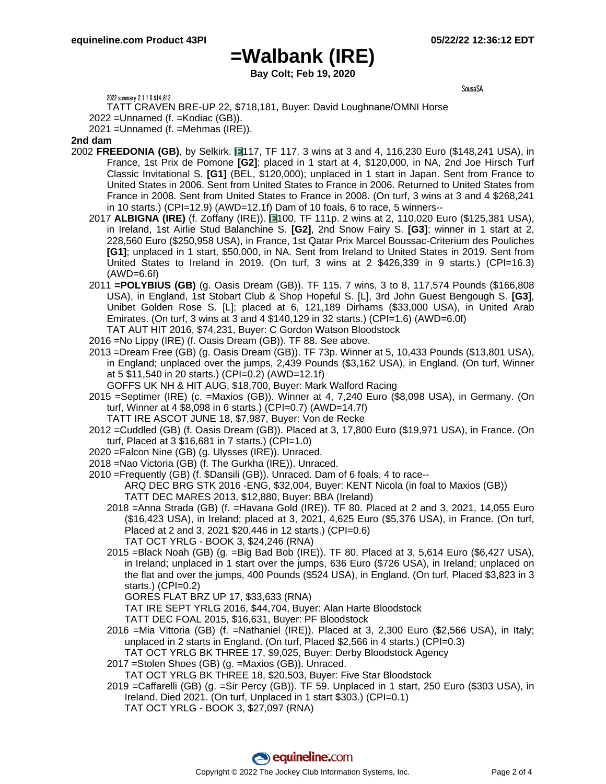SousaSA

### **=Walbank (IRE)**

**Bay Colt; Feb 19, 2020**

2022 summary 2 1 1 0 \$14,812

TATT CRAVEN BRE-UP 22, \$718,181, Buyer: David Loughnane/OMNI Horse

2022 =Unnamed (f. =Kodiac (GB)).

2021 =Unnamed (f. =Mehmas (IRE)).

### **2nd dam**

- 2002 **FREEDONIA (GB)**, by Selkirk. 117, TF 117. 3 wins at 3 and 4, 116,230 Euro (\$148,241 USA), in France, 1st Prix de Pomone **[G2]**; placed in 1 start at 4, \$120,000, in NA, 2nd Joe Hirsch Turf Classic Invitational S. **[G1]** (BEL, \$120,000); unplaced in 1 start in Japan. Sent from France to United States in 2006. Sent from United States to France in 2006. Returned to United States from France in 2008. Sent from United States to France in 2008. (On turf, 3 wins at 3 and 4 \$268,241 in 10 starts.) (CPI=12.9) (AWD=12.1f) Dam of 10 foals, 6 to race, 5 winners--
	- 2017 **ALBIGNA (IRE)** (f. Zoffany (IRE)). 100, TF 111p. 2 wins at 2, 110,020 Euro (\$125,381 USA), in Ireland, 1st Airlie Stud Balanchine S. **[G2]**, 2nd Snow Fairy S. **[G3]**; winner in 1 start at 2, 228,560 Euro (\$250,958 USA), in France, 1st Qatar Prix Marcel Boussac-Criterium des Pouliches **[G1]**; unplaced in 1 start, \$50,000, in NA. Sent from Ireland to United States in 2019. Sent from United States to Ireland in 2019. (On turf,  $3$  wins at  $2$  \$426,339 in  $9$  starts.) (CPI=16.3) (AWD=6.6f)
	- 2011 **=POLYBIUS (GB)** (g. Oasis Dream (GB)). TF 115. 7 wins, 3 to 8, 117,574 Pounds (\$166,808 USA), in England, 1st Stobart Club & Shop Hopeful S. [L], 3rd John Guest Bengough S. **[G3]**, Unibet Golden Rose S. [L]; placed at 6, 121,189 Dirhams (\$33,000 USA), in United Arab Emirates. (On turf, 3 wins at 3 and 4  $$140,129$  in 32 starts.) (CPI=1.6) (AWD=6.0f)
	- TAT AUT HIT 2016, \$74,231, Buyer: C Gordon Watson Bloodstock
	- 2016 =No Lippy (IRE) (f. Oasis Dream (GB)). TF 88. See above.
	- 2013 =Dream Free (GB) (g. Oasis Dream (GB)). TF 73p. Winner at 5, 10,433 Pounds (\$13,801 USA), in England; unplaced over the jumps, 2,439 Pounds (\$3,162 USA), in England. (On turf, Winner at 5 \$11,540 in 20 starts.) (CPI=0.2) (AWD=12.1f) GOFFS UK NH & HIT AUG, \$18,700, Buyer: Mark Walford Racing
	- 2015 =Septimer (IRE) (c. =Maxios (GB)). Winner at 4, 7,240 Euro (\$8,098 USA), in Germany. (On
		- turf, Winner at 4 \$8,098 in 6 starts.) (CPI=0.7) (AWD=14.7f)
		- TATT IRE ASCOT JUNE 18, \$7,987, Buyer: Von de Recke
	- 2012 =Cuddled (GB) (f. Oasis Dream (GB)). Placed at 3, 17,800 Euro (\$19,971 USA), in France. (On turf, Placed at 3 \$16,681 in 7 starts.) (CPI=1.0)
	- 2020 =Falcon Nine (GB) (g. Ulysses (IRE)). Unraced.
	- 2018 =Nao Victoria (GB) (f. The Gurkha (IRE)). Unraced.
	- 2010 =Frequently (GB) (f. \$Dansili (GB)). Unraced. Dam of 6 foals, 4 to race-- ARQ DEC BRG STK 2016 -ENG, \$32,004, Buyer: KENT Nicola (in foal to Maxios (GB)) TATT DEC MARES 2013, \$12,880, Buyer: BBA (Ireland)
		- 2018 =Anna Strada (GB) (f. =Havana Gold (IRE)). TF 80. Placed at 2 and 3, 2021, 14,055 Euro (\$16,423 USA), in Ireland; placed at 3, 2021, 4,625 Euro (\$5,376 USA), in France. (On turf, Placed at 2 and 3, 2021 \$20,446 in 12 starts.) (CPI=0.6) TAT OCT YRLG - BOOK 3, \$24,246 (RNA)
		- 2015 =Black Noah (GB) (g. =Big Bad Bob (IRE)). TF 80. Placed at 3, 5,614 Euro (\$6,427 USA), in Ireland; unplaced in 1 start over the jumps, 636 Euro (\$726 USA), in Ireland; unplaced on the flat and over the jumps, 400 Pounds (\$524 USA), in England. (On turf, Placed \$3,823 in 3 starts.) (CPI=0.2)

GORES FLAT BRZ UP 17, \$33,633 (RNA)

TAT IRE SEPT YRLG 2016, \$44,704, Buyer: Alan Harte Bloodstock

- TATT DEC FOAL 2015, \$16,631, Buyer: PF Bloodstock
- 2016 =Mia Vittoria (GB) (f. =Nathaniel (IRE)). Placed at 3, 2,300 Euro (\$2,566 USA), in Italy; unplaced in 2 starts in England. (On turf, Placed \$2,566 in 4 starts.) (CPI=0.3) TAT OCT YRLG BK THREE 17, \$9,025, Buyer: Derby Bloodstock Agency
- 2017 =Stolen Shoes (GB) (g. =Maxios (GB)). Unraced.

TAT OCT YRLG BK THREE 18, \$20,503, Buyer: Five Star Bloodstock

2019 =Caffarelli (GB) (g. =Sir Percy (GB)). TF 59. Unplaced in 1 start, 250 Euro (\$303 USA), in Ireland. Died 2021. (On turf, Unplaced in 1 start \$303.) (CPI=0.1) TAT OCT YRLG - BOOK 3, \$27,097 (RNA)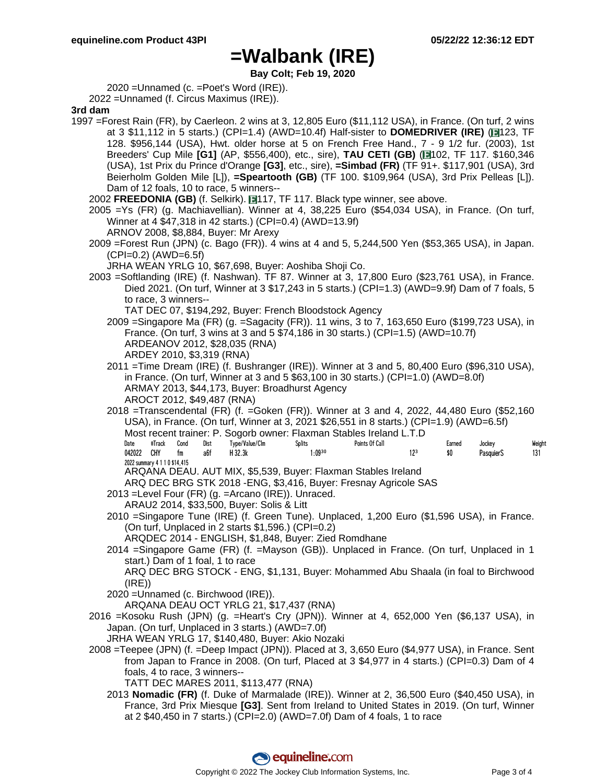## **=Walbank (IRE)**

**Bay Colt; Feb 19, 2020**

2020 =Unnamed (c. =Poet's Word (IRE)).

2022 =Unnamed (f. Circus Maximus (IRE)).

**3rd dam**

1997 =Forest Rain (FR), by Caerleon. 2 wins at 3, 12,805 Euro (\$11,112 USA), in France. (On turf, 2 wins at 3 \$11,112 in 5 starts.) (CPI=1.4) (AWD=10.4f) Half-sister to **DOMEDRIVER (IRE)** ( 123, TF 128. \$956,144 (USA), Hwt. older horse at 5 on French Free Hand., 7 - 9 1/2 fur. (2003), 1st Breeders' Cup Mile **[G1]** (AP, \$556,400), etc., sire), **TAU CETI (GB)** ( 102, TF 117. \$160,346 (USA), 1st Prix du Prince d'Orange **[G3]**, etc., sire), **=Simbad (FR)** (TF 91+. \$117,901 (USA), 3rd Beierholm Golden Mile [L]), **=Speartooth (GB)** (TF 100. \$109,964 (USA), 3rd Prix Pelleas [L]). Dam of 12 foals, 10 to race, 5 winners--

2002 FREEDONIA (GB) (f. Selkirk). 117, TF 117. Black type winner, see above.

2005 =Ys (FR) (g. Machiavellian). Winner at 4, 38,225 Euro (\$54,034 USA), in France. (On turf, Winner at 4 \$47,318 in 42 starts.) (CPI=0.4) (AWD=13.9f)

ARNOV 2008, \$8,884, Buyer: Mr Arexy

- 2009 =Forest Run (JPN) (c. Bago (FR)). 4 wins at 4 and 5, 5,244,500 Yen (\$53,365 USA), in Japan.  $(CPI=0.2)$  (AWD=6.5f)
	- JRHA WEAN YRLG 10, \$67,698, Buyer: Aoshiba Shoji Co.
- 2003 =Softlanding (IRE) (f. Nashwan). TF 87. Winner at 3, 17,800 Euro (\$23,761 USA), in France. Died 2021. (On turf, Winner at 3 \$17,243 in 5 starts.) (CPI=1.3) (AWD=9.9f) Dam of 7 foals, 5 to race, 3 winners--
	- TAT DEC 07, \$194,292, Buyer: French Bloodstock Agency 2009 =Singapore Ma (FR) (g. =Sagacity (FR)). 11 wins, 3 to 7, 163,650 Euro (\$199,723 USA), in France. (On turf, 3 wins at 3 and 5 \$74,186 in 30 starts.) (CPI=1.5) (AWD=10.7f) ARDEANOV 2012, \$28,035 (RNA) ARDEY 2010, \$3,319 (RNA)
	- 2011 =Time Dream (IRE) (f. Bushranger (IRE)). Winner at 3 and 5, 80,400 Euro (\$96,310 USA), in France. (On turf, Winner at 3 and 5  $$63,100$  in 30 starts.) (CPI=1.0) (AWD=8.0f) ARMAY 2013, \$44,173, Buyer: Broadhurst Agency AROCT 2012, \$49,487 (RNA)
	- 2018 =Transcendental (FR) (f. =Goken (FR)). Winner at 3 and 4, 2022, 44,480 Euro (\$52,160 USA), in France. (On turf, Winner at 3, 2021 \$26,551 in 8 starts.) (CPI=1.9) (AWD=6.5f) Most recent trainer: P. Sogorb owner: Flaxman Stables Ireland L.T.D Date #Track Cond Dist Type/Value/Clm Splits Points Of Call Earned Jockey Weight 042022 CHY fm a6f H 32.3k 1:09ªº 12ª \$0 PasquierS 131 2022 summary 4 1 1 0 \$14,415 ARQANA DEAU. AUT MIX, \$5,539, Buyer: Flaxman Stables Ireland

ARQ DEC BRG STK 2018 -ENG, \$3,416, Buyer: Fresnay Agricole SAS

2013 =Level Four (FR) (g. =Arcano (IRE)). Unraced.

ARAU2 2014, \$33,500, Buyer: Solis & Litt

2010 =Singapore Tune (IRE) (f. Green Tune). Unplaced, 1,200 Euro (\$1,596 USA), in France. (On turf, Unplaced in 2 starts \$1,596.) (CPI=0.2)

ARQDEC 2014 - ENGLISH, \$1,848, Buyer: Zied Romdhane

2014 =Singapore Game (FR) (f. =Mayson (GB)). Unplaced in France. (On turf, Unplaced in 1 start.) Dam of 1 foal, 1 to race

ARQ DEC BRG STOCK - ENG, \$1,131, Buyer: Mohammed Abu Shaala (in foal to Birchwood  $(IRE)$ 

2020 =Unnamed (c. Birchwood (IRE)).

ARQANA DEAU OCT YRLG 21, \$17,437 (RNA)

2016 =Kosoku Rush (JPN) (g. =Heart's Cry (JPN)). Winner at 4, 652,000 Yen (\$6,137 USA), in Japan. (On turf, Unplaced in 3 starts.) (AWD=7.0f)

JRHA WEAN YRLG 17, \$140,480, Buyer: Akio Nozaki

2008 =Teepee (JPN) (f. =Deep Impact (JPN)). Placed at 3, 3,650 Euro (\$4,977 USA), in France. Sent from Japan to France in 2008. (On turf, Placed at 3 \$4,977 in 4 starts.) (CPI=0.3) Dam of 4 foals, 4 to race, 3 winners--

TATT DEC MARES 2011, \$113,477 (RNA)

2013 **Nomadic (FR)** (f. Duke of Marmalade (IRE)). Winner at 2, 36,500 Euro (\$40,450 USA), in France, 3rd Prix Miesque **[G3]**. Sent from Ireland to United States in 2019. (On turf, Winner at 2 \$40,450 in 7 starts.) (CPI=2.0) (AWD=7.0f) Dam of 4 foals, 1 to race